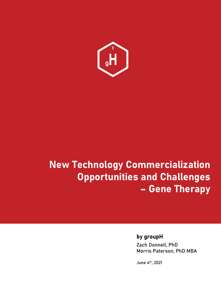

# **New Technology Commercialization Opportunities and Challenges – Gene Therapy**

# **by groupH**

Zach Donnell, PhD Morris Paterson, PhD MBA

June 4th, 2021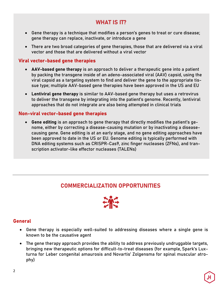# **WHAT IS IT?**

- Gene therapy is a technique that modifies a person's genes to treat or cure disease; gene therapy can replace, inactivate, or introduce a gene
- There are two broad categories of gene therapies, those that are delivered via a viral vector and those that are delivered without a viral vector

# **Viral vector-based gene therapies**

- **AAV-based gene therapy** is an approach to deliver a therapeutic gene into a patient by packing the transgene inside of an adeno-associated viral (AAV) capsid, using the viral capsid as a targeting system to find and deliver the gene to the appropriate tissue type; multiple AAV-based gene therapies have been approved in the US and EU
- **Lentiviral gene therapy** is similar to AAV-based gene therapy but uses a retrovirus to deliver the transgene by integrating into the patient's genome. Recently, lentiviral approaches that do not integrate are also being attempted in clinical trials

#### **Non-viral vector-based gene therapies**

• **Gene editing** is an approach to gene therapy that directly modifies the patient's genome, either by correcting a disease-causing mutation or by inactivating a diseasecausing gene. Gene editing is at an early stage, and no gene editing approaches have been approved to date in the US or EU. Genome editing is typically performed with DNA editing systems such as CRISPR-Cas9, zinc finger nucleases (ZFNs), and transcription activator-like effector nucleases (TALENs)

# **COMMERCIALIZATION OPPORTUNITIES**



## **General**

- Gene therapy is especially well-suited to addressing diseases where a single gene is known to be the causative agent
- The gene therapy approach provides the ability to address previously undruggable targets, bringing new therapeutic options for difficult-to-treat diseases (for example, Spark's Luxturna for Leber congenital amaurosis and Novartis' Zolgensma for spinal muscular atrophy)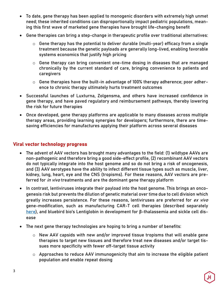- To date, gene therapy has been applied to monogenic disorders with extremely high unmet need; these inherited conditions can disproportionally impact pediatric populations, meaning this first wave of marketed gene therapies have brought life-changing benefit
- Gene therapies can bring a step-change in therapeutic profile over traditional alternatives:
	- o Gene therapy has the potential to deliver durable (multi-year) efficacy from a single treatment because the genetic payloads are generally long-lived, enabling favorable systems economics that justify high pricing
	- o Gene therapy can bring convenient one-time dosing in diseases that are managed chronically by the current standard of care, bringing convenience to patients and caregivers
	- o Gene therapies have the built-in advantage of 100% therapy adherence; poor adherence to chronic therapy ultimately hurts treatment outcomes
- Successful launches of Luxturna, Zolgensma, and others have increased confidence in gene therapy, and have paved regulatory and reimbursement pathways, thereby lowering the risk for future therapies
- Once developed, gene therapy platforms are applicable to many diseases across multiple therapy areas, providing learning synergies for developers; furthermore, there are timesaving efficiencies for manufactures applying their platform across several diseases

## **Viral vector technology progress**

- The advent of AAV vectors has brought many advantages to the field: (1) wildtype AAVs are non-pathogenic and therefore bring a good side-effect profile, (2) recombinant AAV vectors do not typically integrate into the host genome and so do not bring a risk of oncogenesis, and (3) AAV serotypes have the ability to infect different tissue types such as muscle, liver, kidney, lung, heart, eye and the CNS (tropisms). For these reasons, AAV vectors are preferred for *in vivo* treatments and are the dominant gene therapy platform
- In contrast, lentiviruses integrate their payload into the host genome. This brings an oncogenesis risk but prevents the dilution of genetic material over time due to cell division which greatly increases persistence. For these reasons, lentiviruses are preferred for ex vivo gene-modification, such as manufacturing CAR-T cell therapies (described separately here), and bluebird bio's Lentiglobin in development for β-thalassemia and sickle cell disease
- The next gene therapy technologies are hoping to bring a number of benefits:
	- o New AAV capsids with new and/or improved tissue tropisms that will enable gene therapies to target new tissues and therefore treat new diseases and/or target tissues more specificity with fewer off-target tissue activity
	- $\circ$  Approaches to reduce AAV immunogenicity that aim to increase the eligible patient population and enable repeat dosing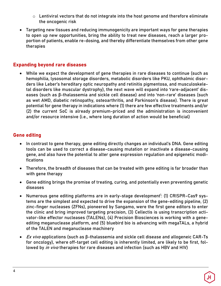- $\circ$  Lentiviral vectors that do not integrate into the host genome and therefore eliminate the oncogenic risk
- Targeting new tissues and reducing immunogenicity are important ways for gene therapies to open up new opportunities, bring the ability to treat new diseases, reach a larger proportion of patients, enable re-dosing, and thereby differentiate themselves from other gene therapies

# **Expanding beyond rare diseases**

• While we expect the development of gene therapies in rare diseases to continue (such as hemophilia, lysosomal storage disorders, metabolic disorders like PKU, ophthalmic disorders like Leber's hereditary optic neuropathy and retinitis pigmentosa, and musculoskeletal disorders like muscular dystrophy), the next wave will expand into 'rare-adjacent' diseases (such as β-thalassemia and sickle cell disease) and into 'non-rare' diseases (such as wet AMD, diabetic retinopathy, osteoarthritis, and Parkinson's disease). There is great potential for gene therapy in indications where (1) there are few effective treatments and/or (2) the current SoC is already premium-priced and the administration is inconvenient and/or resource intensive (i.e., where long duration of action would be beneficial)

## **Gene editing**

- In contrast to gene therapy, gene editing directly changes an individual's DNA. Gene editing tools can be used to correct a disease-causing mutation or inactivate a disease-causing gene, and also have the potential to alter gene expression regulation and epigenetic modifications
- Therefore, the breadth of diseases that can be treated with gene editing is far broader than with gene therapy
- Gene editing brings the promise of treating, curing, and potentially even preventing genetic diseases
- Numerous gene editing platforms are in early-stage development<sup>1</sup>: (1) CRISPR-Cas9 systems are the simplest and expected to drive the expansion of the gene-editing pipeline, (2) zinc-finger nucleases (ZFNs), pioneered by Sangamo, were the first gene editors to enter the clinic and bring improved targeting precision, (3) Cellectis is using transcription activator-like effector nucleases (TALENs), (4) Precision Biosciences is working with a geneediting meganuclease platform, and (5) bluebird bio is advancing with megaTALs, a hybrid of the TALEN and meganuclease machinery
- $Ex$  vivo applications (such as β-thalassemia and sickle cell disease and allogeneic CAR-Ts for oncology), where off-target cell editing is inherently limited, are likely to be first, followed by in vivo therapies for rare diseases and infection (such as HBV and HIV)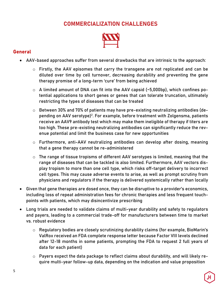# **COMMERCIALIZATION CHALLENGES**



## **General**

- AAV-based approaches suffer from several drawbacks that are intrinsic to the approach:
	- o Firstly, the AAV episomes that carry the transgene are not replicated and can be diluted over time by cell turnover, decreasing durability and preventing the gene therapy promise of a long-term 'cure' from being achieved
	- o A limited amount of DNA can fit into the AAV capsid (~5,000bp), which confines potential applications to short genes or genes that can tolerate truncation, ultimately restricting the types of diseases that can be treated
	- o Between 30% and 70% of patients may have pre-existing neutralizing antibodies (depending on AAV serotype)<sup>2</sup>. For example, before treatment with Zolgensma, patients receive an AAV9 antibody test which may make them ineligible of therapy if titers are too high. These pre-existing neutralizing antibodies can significantly reduce the revenue potential and limit the business case for new opportunities
	- o Furthermore, anti-AAV neutralizing antibodies can develop after dosing, meaning that a gene therapy cannot be re-administered
	- $\circ$  The range of tissue tropisms of different AAV serotypes is limited, meaning that the range of diseases that can be tackled is also limited. Furthermore, AAV vectors display tropism to more than one cell type, which risks off-target delivery to incorrect cell types. This may cause adverse events to arise, as well as prompt scrutiny from physicians and regulators if the therapy is delivered systemically rather than locally
- Given that gene therapies are dosed once, they can be disruptive to a provider's economics, including loss of repeat administration fees for chronic therapies and less frequent touchpoints with patients, which may disincentivize prescribing
- Long trials are needed to validate claims of multi-year durability and safety to regulators and payers, leading to a commercial trade-off for manufacturers between time to market vs. robust evidence
	- o Regulatory bodies are closely scrutinizing durability claims (for example, BioMarin's ValRox received an FDA complete response letter because Factor VIII levels declined after 12-18 months in some patients, prompting the FDA to request 2 full years of data for each patient)
	- o Payers expect the data package to reflect claims about durability, and will likely require multi-year follow-up data, depending on the indication and value proposition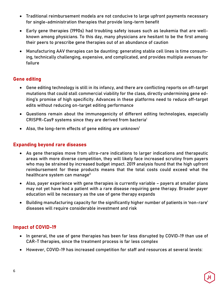- Traditional reimbursement models are not conducive to large upfront payments necessary for single-administration therapies that provide long-term benefit
- Early gene therapies (1990s) had troubling safety issues such as leukemia that are wellknown among physicians. To this day, many physicians are hesitant to be the first among their peers to prescribe gene therapies out of an abundance of caution
- Manufacturing AAV therapies can be daunting: generating stable cell lines is time consuming, technically challenging, expensive, and complicated, and provides multiple avenues for failure

# **Gene editing**

- Gene editing technology is still in its infancy, and there are conflicting reports on off-target mutations that could stall commercial viability for the class, directly undermining gene editing's promise of high specificity. Advances in these platforms need to reduce off-target edits without reducing on-target editing performance
- Questions remain about the immunogenicity of different editing technologies, especially CRISPR-Cas9 systems since they are derived from bacteria1
- Also, the long-term effects of gene editing are unknown<sup>1</sup>

# **Expanding beyond rare diseases**

- As gene therapies move from ultra-rare indications to larger indications and therapeutic areas with more diverse competition, they will likely face increased scrutiny from payers who may be strained by increased budget impact. 2019 analysis found that the high upfront reimbursement for these products means that the total costs could exceed what the healthcare system can manage<sup>3</sup>
- Also, payer experience with gene therapies is currently variable payers at smaller plans may not yet have had a patient with a rare disease requiring gene therapy. Broader payer education will be necessary as the use of gene therapy expands
- Building manufacturing capacity for the significantly higher number of patients in 'non-rare' diseases will require considerable investment and risk

# **Impact of COVID-19**

- In general, the use of gene therapies has been far less disrupted by COVID-19 than use of CAR-T therapies, since the treatment process is far less complex
- However, COVID-19 has increased competition for staff and resources at several levels: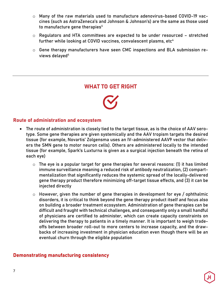- o Many of the raw materials used to manufacture adenovirus-based COVID-19 vaccines (such as AstraZeneca's and Johnson & Johnson's) are the same as those used to manufacture gene therapies $4$
- o Regulators and HTA committees are expected to be under resourced stretched further while looking at COVID vaccines, convalescent plasms, etc $4$
- o Gene therapy manufacturers have seen CMC inspections and BLA submission reviews delayed<sup>4</sup>

# **WHAT TO GET RIGHT**



## **Route of administration and ecosystem**

- The route of administration is closely tied to the target tissue, as is the choice of AAV serotype. Some gene therapies are given systemically and the AAV tropism targets the desired tissue (for example, Novartis' Zolgensma uses an IV-administered AAV9 vector that delivers the SMN gene to motor neuron cells). Others are administered locally to the intended tissue (for example, Spark's Luxturna is given as a surgical injection beneath the retina of each eye)
	- $\circ$  The eye is a popular target for gene therapies for several reasons: (1) it has limited immune surveillance meaning a reduced risk of antibody neutralization, (2) compartmentalization that significantly reduces the systemic spread of the locally-delivered gene therapy product therefore minimizing off-target tissue effects, and (3) it can be injected directly
	- $\circ$  However, given the number of gene therapies in development for eye / ophthalmic disorders, it is critical to think beyond the gene therapy product itself and focus also on building a broader treatment ecosystem. Administration of gene therapies can be difficult and fraught with technical challenges, and consequently only a small handful of physicians are certified to administer, which can create capacity constraints on delivering the therapy to patients in a timely manner. It is important to weigh tradeoffs between broader roll-out to more centers to increase capacity, and the drawbacks of increasing investment in physician education even though there will be an eventual churn through the eligible population

# **Demonstrating manufacturing consistency**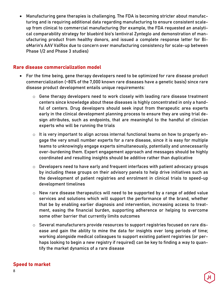• Manufacturing gene therapies is challenging. The FDA is becoming stricter about manufacturing and is requiring additional data regarding manufacturing to ensure consistent scaleup from clinical to commercial manufacturing (for example, the FDA requested an analytical comparability strategy for bluebird bio's lentiviral Zynteglo and demonstration of manufacturing product from healthy donors, and issued a complete response letter for BioMarin's AAV ValRox due to concern over manufacturing consistency for scale-up between Phase 1/2 and Phase 3 studies)

#### **Rare disease commercialization model**

- For the time being, gene therapy developers need to be optimized for rare disease product commercialization (~80% of the 7,000 known rare diseases have a genetic basis) since rare disease product development entails unique requirements:
	- o Gene therapy developers need to work closely with leading rare disease treatment centers since knowledge about these diseases is highly concentrated in only a handful of centers. Drug developers should seek input from therapeutic area experts early in the clinical development planning process to ensure they are using trial design attributes, such as endpoints, that are meaningful to the handful of clinician experts who will be running the trials
	- o It is very important to align across internal functional teams on how to properly engage the very small number experts for a rare disease, since it is easy for multiple teams to unknowingly engage experts simultaneously, potentially and unnecessarily over-burdening them. Expert engagement approach and messages should be highly coordinated and resulting insights should be additive rather than duplicative
	- o Developers need to have early and frequent interfaces with patient advocacy groups by including these groups on their advisory panels to help drive initiatives such as the development of patient registries and enrolment in clinical trials to speed-up development timelines
	- o New rare disease therapeutics will need to be supported by a range of added value services and solutions which will support the performance of the brand, whether that be by enabling earlier diagnosis and intervention, increasing access to treatment, easing the financial burden, supporting adherence or helping to overcome some other barrier that currently limits outcomes
	- o Several manufacturers provide resources to support registries focused on rare disease and gain the ability to mine the data for insights over long periods of time; working alongside medical colleagues to support existing patient registries (or perhaps looking to begin a new registry if required) can be key to finding a way to quantify the market dynamics of a rare disease

## **Speed to market**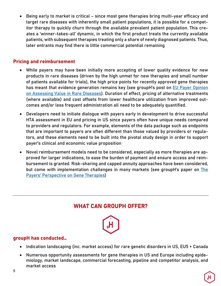• Being early to market is critical – since most gene therapies bring multi-year efficacy and target rare diseases with inherently small patient populations, it is possible for a competitor therapy to quickly churn through the available prevalent patient population. This creates a 'winner-takes-all' dynamic, in which the first product treats the currently available patients, with subsequent therapies treating only a share of newly diagnosed patients. Thus, later entrants may find there is little commercial potential remaining

# **Pricing and reimbursement**

- While payers may have been initially more accepting of lower quality evidence for new products in rare diseases (driven by the high unmet for new therapies and small number of patients available for trials), the high price points for recently approved gene therapies has meant that evidence generation remains key (see groupH's post on EU Payer Opinion on Assessing Value in Rare Diseases). Duration of effect, pricing of alternative treatments (where available) and cost offsets from lower healthcare utilization from improved outcomes and/or less frequent administration all need to be adequately quantified.
- Developers need to initiate dialogue with payers early in development to drive successful HTA assessment in EU and pricing in US since payers often have unique needs compared to providers and regulators. For example, elements of the data package such as endpoints that are important to payers are often different than those valued by providers or regulators, and these elements need to be built into the pivotal study design in order to support payer's clinical and economic value proposition
- Novel reimbursement models need to be considered, especially as more therapies are approved for larger indications, to ease the burden of payment and ensure access and reimbursement is granted. Risk-sharing and capped annuity approaches have been considered, but come with implementation challenges in many markets (see groupH's paper on The Payers' Perspective on Gene Therapies)

# **WHAT CAN GROUPH OFFER?**



## **groupH has conducted…**

- Indication landscaping (inc. market access) for rare genetic disorders in US, EU5 + Canada
- Numerous opportunity assessments for gene therapies in US and Europe including epidemiology, market landscape, commercial forecasting, pipeline and competitor analysis, and market access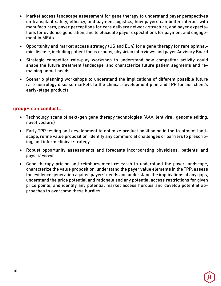- Market access landscape assessment for gene therapy to understand payer perspectives on transplant safety, efficacy, and payment logistics, how payers can better interact with manufacturers, payer perceptions for care delivery network structure, and payer expectations for evidence generation, and to elucidate payer expectations for payment and engagement in MEAs
- Opportunity and market access strategy (US and EU4) for a gene therapy for rare ophthalmic disease, including patient focus groups, physician interviews and payer Advisory Board
- Strategic competitor role-play workshop to understand how competitor activity could shape the future treatment landscape, and characterize future patient segments and remaining unmet needs
- Scenario planning workshops to understand the implications of different possible future rare neurology disease markets to the clinical development plan and TPP for our client's early-stage products

# **groupH can conduct…**

- Technology scans of next-gen gene therapy technologies (AAV, lentiviral, genome editing, novel vectors)
- Early TPP testing and development to optimize product positioning in the treatment landscape, refine value proposition, identify any commercial challenges or barriers to prescribing, and inform clinical strategy
- Robust opportunity assessments and forecasts incorporating physicians', patients' and payers' views
- Gene therapy pricing and reimbursement research to understand the payer landscape, characterize the value proposition, understand the payer value elements in the TPP, assess the evidence generation against payers' needs and understand the implications of any gaps, understand the price potential and rationale and any potential access restrictions for given price points, and identify any potential market access hurdles and develop potential approaches to overcome these hurdles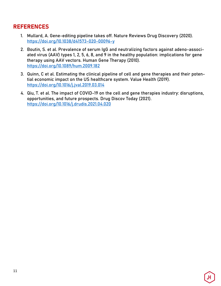# **REFERENCES**

- 1. Mullard, A. Gene-editing pipeline takes off. Nature Reviews Drug Discovery (2020). https://doi.org/10.1038/d41573-020-00096-y
- 2. Boutin, S. et al. Prevalence of serum IgG and neutralizing factors against adeno-associated virus (AAV) types 1, 2, 5, 6, 8, and 9 in the healthy population: implications for gene therapy using AAV vectors. Human Gene Therapy (2010). https://doi.org/10.1089/hum.2009.182
- 3. Quinn, C et al. Estimating the clinical pipeline of cell and gene therapies and their potential economic impact on the US healthcare system. Value Health (2019). https://doi.org/10.1016/j.jval.2019.03.014
- 4. Qiu, T. et al. The impact of COVID-19 on the cell and gene therapies industry: disruptions, opportunities, and future prospects. Drug Discov Today (2021). https://doi.org/10.1016/j.drudis.2021.04.020